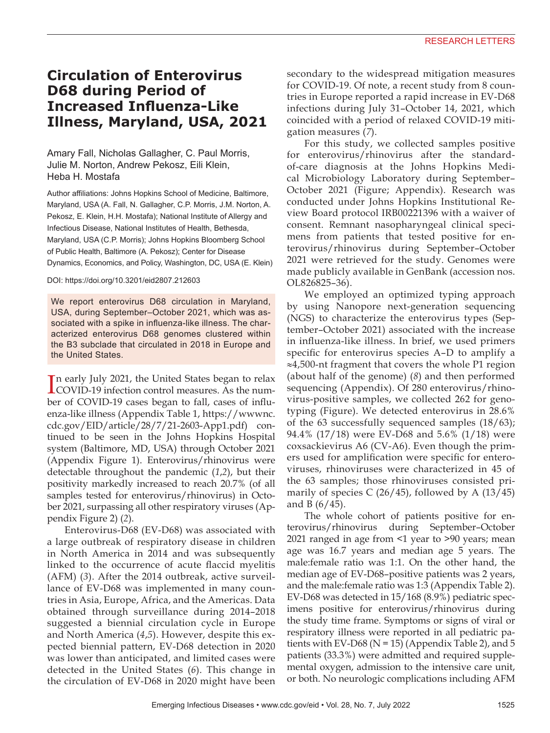## **Circulation of Enterovirus D68 during Period of Increased Influenza-Like Illness, Maryland, USA, 2021**

### Amary Fall, Nicholas Gallagher, C. Paul Morris, Julie M. Norton, Andrew Pekosz, Eili Klein, Heba H. Mostafa

Author affiliations: Johns Hopkins School of Medicine, Baltimore, Maryland, USA (A. Fall, N. Gallagher, C.P. Morris, J.M. Norton, A. Pekosz, E. Klein, H.H. Mostafa); National Institute of Allergy and Infectious Disease, National Institutes of Health, Bethesda, Maryland, USA (C.P. Morris); Johns Hopkins Bloomberg School of Public Health, Baltimore (A. Pekosz); Center for Disease Dynamics, Economics, and Policy, Washington, DC, USA (E. Klein)

#### DOI: https://doi.org/10.3201/eid2807.212603

We report enterovirus D68 circulation in Maryland, USA, during September–October 2021, which was associated with a spike in influenza-like illness. The characterized enterovirus D68 genomes clustered within the B3 subclade that circulated in 2018 in Europe and the United States.

In early July 2021, the United States began to relax<br>COVID-19 infection control measures. As the numn early July 2021, the United States began to relax ber of COVID-19 cases began to fall, cases of influenza-like illness (Appendix Table 1, https://wwwnc. cdc.gov/EID/article/28/7/21-2603-App1.pdf) continued to be seen in the Johns Hopkins Hospital system (Baltimore, MD, USA) through October 2021 (Appendix Figure 1). Enterovirus/rhinovirus were detectable throughout the pandemic (*1*,*2*), but their positivity markedly increased to reach 20.7% (of all samples tested for enterovirus/rhinovirus) in October 2021, surpassing all other respiratory viruses (Appendix Figure 2) (*2*).

Enterovirus-D68 (EV-D68) was associated with a large outbreak of respiratory disease in children in North America in 2014 and was subsequently linked to the occurrence of acute flaccid myelitis (AFM) (*3*). After the 2014 outbreak, active surveillance of EV-D68 was implemented in many countries in Asia, Europe, Africa, and the Americas. Data obtained through surveillance during 2014–2018 suggested a biennial circulation cycle in Europe and North America (*4*,*5*). However, despite this expected biennial pattern, EV-D68 detection in 2020 was lower than anticipated, and limited cases were detected in the United States (*6*). This change in the circulation of EV-D68 in 2020 might have been

secondary to the widespread mitigation measures for COVID-19. Of note, a recent study from 8 countries in Europe reported a rapid increase in EV-D68 infections during July 31–October 14, 2021, which coincided with a period of relaxed COVID-19 mitigation measures (*7*).

For this study, we collected samples positive for enterovirus/rhinovirus after the standardof-care diagnosis at the Johns Hopkins Medical Microbiology Laboratory during September– October 2021 (Figure; Appendix). Research was conducted under Johns Hopkins Institutional Review Board protocol IRB00221396 with a waiver of consent. Remnant nasopharyngeal clinical specimens from patients that tested positive for enterovirus/rhinovirus during September–October 2021 were retrieved for the study. Genomes were made publicly available in GenBank (accession nos. OL826825–36).

We employed an optimized typing approach by using Nanopore next-generation sequencing (NGS) to characterize the enterovirus types (September–October 2021) associated with the increase in influenza-like illness. In brief, we used primers specific for enterovirus species A–D to amplify a ≈4,500-nt fragment that covers the whole P1 region (about half of the genome) (*8*) and then performed sequencing (Appendix). Of 280 enterovirus/rhinovirus-positive samples, we collected 262 for genotyping (Figure). We detected enterovirus in 28.6% of the 63 successfully sequenced samples (18/63); 94.4% (17/18) were EV-D68 and 5.6% (1/18) were coxsackievirus A6 (CV-A6). Even though the primers used for amplification were specific for enteroviruses, rhinoviruses were characterized in 45 of the 63 samples; those rhinoviruses consisted primarily of species C  $(26/45)$ , followed by A  $(13/45)$ and B (6/45).

The whole cohort of patients positive for enterovirus/rhinovirus during September–October 2021 ranged in age from <1 year to >90 years; mean age was 16.7 years and median age 5 years. The male:female ratio was 1:1. On the other hand, the median age of EV-D68–positive patients was 2 years, and the male:female ratio was 1:3 (Appendix Table 2). EV-D68 was detected in 15/168 (8.9%) pediatric specimens positive for enterovirus/rhinovirus during the study time frame. Symptoms or signs of viral or respiratory illness were reported in all pediatric patients with EV-D68 ( $N = 15$ ) (Appendix Table 2), and 5 patients (33.3%) were admitted and required supplemental oxygen, admission to the intensive care unit, or both. No neurologic complications including AFM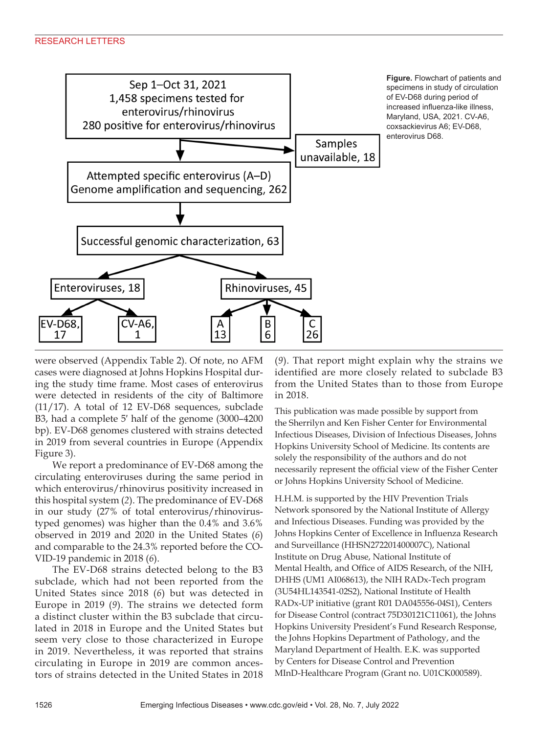

**Figure.** Flowchart of patients and specimens in study of circulation of EV-D68 during period of increased influenza-like illness, Maryland, USA, 2021. CV-A6, coxsackievirus A6; EV-D68, enterovirus D68.

were observed (Appendix Table 2). Of note, no AFM cases were diagnosed at Johns Hopkins Hospital during the study time frame. Most cases of enterovirus were detected in residents of the city of Baltimore (11/17). A total of 12 EV-D68 sequences, subclade B3, had a complete 5′ half of the genome (3000–4200 bp). EV-D68 genomes clustered with strains detected in 2019 from several countries in Europe (Appendix Figure 3).

We report a predominance of EV-D68 among the circulating enteroviruses during the same period in which enterovirus/rhinovirus positivity increased in this hospital system (*2*). The predominance of EV-D68 in our study (27% of total enterovirus/rhinovirustyped genomes) was higher than the 0.4% and 3.6% observed in 2019 and 2020 in the United States (*6*) and comparable to the 24.3% reported before the CO-VID-19 pandemic in 2018 (*6*).

The EV-D68 strains detected belong to the B3 subclade, which had not been reported from the United States since 2018 (*6*) but was detected in Europe in 2019 (*9*). The strains we detected form a distinct cluster within the B3 subclade that circulated in 2018 in Europe and the United States but seem very close to those characterized in Europe in 2019. Nevertheless, it was reported that strains circulating in Europe in 2019 are common ancestors of strains detected in the United States in 2018

(*9*). That report might explain why the strains we identified are more closely related to subclade B3 from the United States than to those from Europe in 2018.

This publication was made possible by support from the Sherrilyn and Ken Fisher Center for Environmental Infectious Diseases, Division of Infectious Diseases, Johns Hopkins University School of Medicine. Its contents are solely the responsibility of the authors and do not necessarily represent the official view of the Fisher Center or Johns Hopkins University School of Medicine.

H.H.M. is supported by the HIV Prevention Trials Network sponsored by the National Institute of Allergy and Infectious Diseases. Funding was provided by the Johns Hopkins Center of Excellence in Influenza Research and Surveillance (HHSN272201400007C), National Institute on Drug Abuse, National Institute of Mental Health, and Office of AIDS Research, of the NIH, DHHS (UM1 AI068613), the NIH RADx-Tech program (3U54HL143541-02S2), National Institute of Health RADx-UP initiative (grant R01 DA045556-04S1), Centers for Disease Control (contract 75D30121C11061), the Johns Hopkins University President's Fund Research Response, the Johns Hopkins Department of Pathology, and the Maryland Department of Health. E.K. was supported by Centers for Disease Control and Prevention MInD-Healthcare Program (Grant no. U01CK000589).